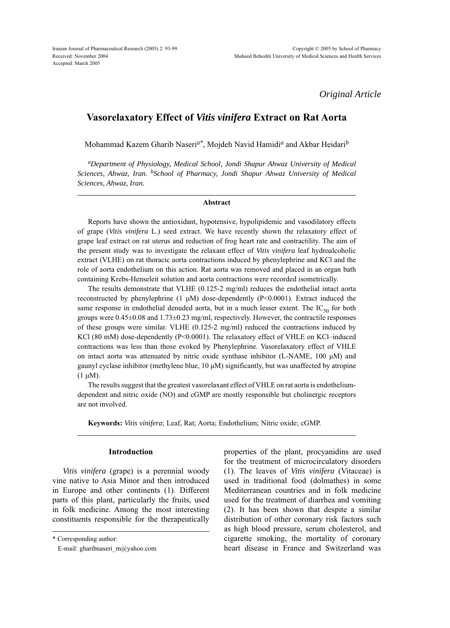*Original Article*

# **Vasorelaxatory Effect of** *Vitis vinifera* **Extract on Rat Aorta**

Mohammad Kazem Gharib Naseri*a\**, Mojdeh Navid Hamidi*a* and Akbar Heidari*<sup>b</sup>*

*aDepartment of Physiology, Medical School, Jondi Shapur Ahwaz University of Medical Sciences, Ahwaz, Iran. bSchool of Pharmacy, Jondi Shapur Ahwaz University of Medical Sciences, Ahwaz, Iran.*

### **Abstract**

Reports have shown the antioxidant, hypotensive, hypolipidemic and vasodilatory effects of grape (*Vitis vinifera* L.) seed extract. We have recently shown the relaxatory effect of grape leaf extract on rat uterus and reduction of frog heart rate and contractility. The aim of the present study was to investigate the relaxant effect of *Vitis vinifera* leaf hydroalcoholic extract (VLHE) on rat thoracic aorta contractions induced by phenylephrine and KCl and the role of aorta endothelium on this action. Rat aorta was removed and placed in an organ bath containing Krebs-Henseleit solution and aorta contractions were recorded isometrically.

The results demonstrate that VLHE (0.125-2 mg/ml) reduces the endothelial intact aorta reconstructed by phenylephrine  $(1 \mu M)$  dose-dependently  $(P< 0.0001)$ . Extract induced the same response in endothelial denuded aorta, but in a much lesser extent. The  $IC_{50}$  for both groups were  $0.45\pm0.08$  and  $1.73\pm0.23$  mg/ml, respectively. However, the contractile responses of these groups were similar. VLHE (0.125-2 mg/ml) reduced the contractions induced by KCl (80 mM) dose-dependently (P<0.0001). The relaxatory effect of VHLE on KCl–induced contractions was less than those evoked by Phenylephrine. Vasorelaxatory effect of VHLE on intact aorta was attenuated by nitric oxide synthase inhibitor (L-NAME, 100  $\mu$ M) and gaunyl cyclase inhibitor (methylene blue,  $10 \mu$ M) significantly, but was unaffected by atropine  $(1 \mu M)$ .

The results suggest that the greatest vasorelaxant effect of VHLE on rat aorta is endotheliumdependent and nitric oxide (NO) and cGMP are mostly responsible but cholinergic receptors are not involved.

**Keywords:** *Vitis vinifera*; Leaf, Rat; Aorta; Endothelium; Nitric oxide; cGMP.

### **Introduction**

*Vitis vinifera* (grape) is a perennial woody vine native to Asia Minor and then introduced in Europe and other continents (1). Different parts of this plant, particularly the fruits, used in folk medicine. Among the most interesting constituents responsible for the therapeutically

\* Corresponding author:

E-mail: gharibnaseri\_m@yahoo.com

properties of the plant, procyanidins are used for the treatment of microcirculatory disorders (1). The leaves of *Vitis vinifera* (Vitaceae) is used in traditional food (dolmathes) in some Mediterranean countries and in folk medicine used for the treatment of diarrhea and vomiting (2). It has been shown that despite a similar distribution of other coronary risk factors such as high blood pressure, serum cholesterol, and cigarette smoking, the mortality of coronary heart disease in France and Switzerland was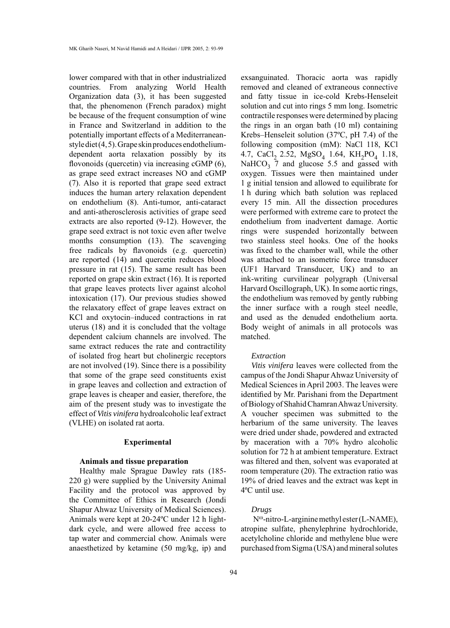lower compared with that in other industrialized countries. From analyzing World Health Organization data (3), it has been suggested that, the phenomenon (French paradox) might be because of the frequent consumption of wine in France and Switzerland in addition to the potentially important effects of a Mediterraneanstyle diet (4, 5). Grape skin produces endotheliumdependent aorta relaxation possibly by its flovonoids (quercetin) via increasing cGMP (6), as grape seed extract increases NO and cGMP (7). Also it is reported that grape seed extract induces the human artery relaxation dependent on endothelium (8). Anti-tumor, anti-cataract and anti-atherosclerosis activities of grape seed extracts are also reported (9-12). However, the grape seed extract is not toxic even after twelve months consumption (13). The scavenging free radicals by flavonoids (e.g. quercetin) are reported (14) and quercetin reduces blood pressure in rat (15). The same result has been reported on grape skin extract (16). It is reported that grape leaves protects liver against alcohol intoxication (17). Our previous studies showed the relaxatory effect of grape leaves extract on KCl and oxytocin–induced contractions in rat uterus (18) and it is concluded that the voltage dependent calcium channels are involved. The same extract reduces the rate and contractility of isolated frog heart but cholinergic receptors are not involved (19). Since there is a possibility that some of the grape seed constituents exist in grape leaves and collection and extraction of grape leaves is cheaper and easier, therefore, the aim of the present study was to investigate the effect of *Vitis vinifera* hydroalcoholic leaf extract (VLHE) on isolated rat aorta.

## **Experimental**

### **Animals and tissue preparation**

Healthy male Sprague Dawley rats (185- 220 g) were supplied by the University Animal Facility and the protocol was approved by the Committee of Ethics in Research (Jondi Shapur Ahwaz University of Medical Sciences). Animals were kept at 20-24ºC under 12 h lightdark cycle, and were allowed free access to tap water and commercial chow. Animals were anaesthetized by ketamine (50 mg/kg, ip) and

exsanguinated. Thoracic aorta was rapidly removed and cleaned of extraneous connective and fatty tissue in ice-cold Krebs-Henseleit solution and cut into rings 5 mm long. Isometric contractile responses were determined by placing the rings in an organ bath (10 ml) containing Krebs–Henseleit solution (37ºC, pH 7.4) of the following composition (mM): NaCl 118, KCl 4.7, CaCl<sub>2</sub> 2.52, MgSO<sub>4</sub> 1.64, KH<sub>2</sub>PO<sub>4</sub> 1.18, NaHCO<sub>3</sub> 7 and glucose 5.5 and gassed with oxygen. Tissues were then maintained under 1 g initial tension and allowed to equilibrate for 1 h during which bath solution was replaced every 15 min. All the dissection procedures were performed with extreme care to protect the endothelium from inadvertent damage. Aortic rings were suspended horizontally between two stainless steel hooks. One of the hooks was fixed to the chamber wall, while the other was attached to an isometric force transducer (UF1 Harvard Transducer, UK) and to an ink-writing curvilinear polygraph (Universal Harvard Oscillograph, UK). In some aortic rings, the endothelium was removed by gently rubbing the inner surface with a rough steel needle, and used as the denuded endothelium aorta. Body weight of animals in all protocols was matched.

## *Extraction*

*Vitis vinifera* leaves were collected from the campus of the Jondi Shapur Ahwaz University of Medical Sciences in April 2003. The leaves were identified by Mr. Parishani from the Department of Biology of Shahid Chamran Ahwaz University. A voucher specimen was submitted to the herbarium of the same university. The leaves were dried under shade, powdered and extracted by maceration with a 70% hydro alcoholic solution for 72 h at ambient temperature. Extract was filtered and then, solvent was evaporated at room temperature (20). The extraction ratio was 19% of dried leaves and the extract was kept in 4ºC until use.

## *Drugs*

 Nω-nitro-L-arginine methyl ester (L-NAME), atropine sulfate, phenylephrine hydrochloride, acetylcholine chloride and methylene blue were purchased from Sigma (USA) and mineral solutes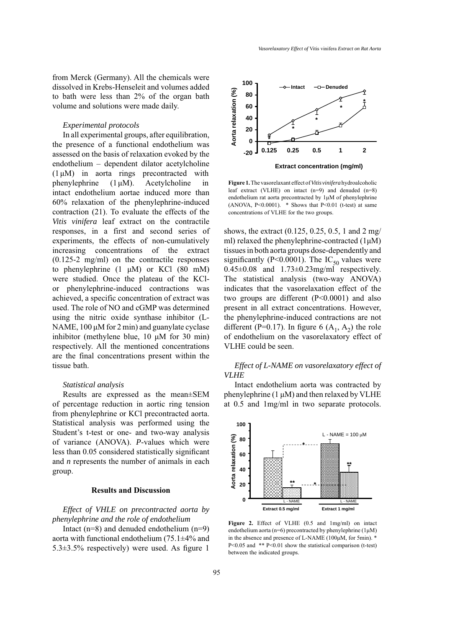from Merck (Germany). All the chemicals were dissolved in Krebs-Henseleit and volumes added to bath were less than 2% of the organ bath volume and solutions were made daily.

### *Experimental protocols*

In all experimental groups, after equilibration, the presence of a functional endothelium was assessed on the basis of relaxation evoked by the endothelium – dependent dilator acetylcholine (1 μM) in aorta rings precontracted with phenylephrine  $(1 \mu M)$ . Acetylcholine in intact endothelium aortae induced more than 60% relaxation of the phenylephrine-induced contraction (21). To evaluate the effects of the *Vitis vinifera* leaf extract on the contractile responses, in a first and second series of experiments, the effects of non-cumulatively increasing concentrations of the extract (0.125-2 mg/ml) on the contractile responses to phenylephrine (1 μM) or KCl (80 mM) were studied. Once the plateau of the KClor phenylephrine-induced contractions was achieved, a specific concentration of extract was used. The role of NO and cGMP was determined using the nitric oxide synthase inhibitor (L-NAME, 100 μM for 2 min) and guanylate cyclase inhibitor (methylene blue, 10 μM for 30 min) respectively. All the mentioned concentrations are the final concentrations present within the tissue bath.

#### *Statistical analysis*

Results are expressed as the mean±SEM of percentage reduction in aortic ring tension from phenylephrine or KCl precontracted aorta. Statistical analysis was performed using the Student's t-test or one- and two-way analysis of variance (ANOVA). *P*-values which were less than 0.05 considered statistically significant and *n* represents the number of animals in each group.

## **Results and Discussion**

*Effect of VHLE on precontracted aorta by phenylephrine and the role of endothelium*

Intact  $(n=8)$  and denuded endothelium  $(n=9)$ aorta with functional endothelium (75.1±4% and  $5.3\pm3.5\%$  respectively) were used. As figure 1



**Figure 1.** The vasorelaxant effect of *Vitis vinifera* hydroalcoholic leaf extract (VLHE) on intact (n=9) and denuded (n=8) endothelium rat aorta precontracted by 1μM of phenylephrine (ANOVA,  $P<0.0001$ ). \* Shows that  $P<0.01$  (t-test) at same concentrations of VLHE for the two groups.

shows, the extract (0.125, 0.25, 0.5, 1 and 2 mg/ ml) relaxed the phenylephrine-contracted (1μM) tissues in both aorta groups dose-dependently and significantly (P<0.0001). The  $IC_{50}$  values were  $0.45\pm0.08$  and  $1.73\pm0.23$  mg/ml respectively. The statistical analysis (two-way ANOVA) indicates that the vasorelaxation effect of the two groups are different (P<0.0001) and also present in all extract concentrations. However, the phenylephrine-induced contractions are not different (P=0.17). In figure 6  $(A_1, A_2)$  the role of endothelium on the vasorelaxatory effect of VLHE could be seen.

## *Effect of L-NAME on vasorelaxatory effect of VLHE*

Intact endothelium aorta was contracted by phenylephrine (1 μM) and then relaxed by VLHE at 0.5 and 1mg/ml in two separate protocols.



**Figure 2.** Effect of VLHE (0.5 and 1mg/ml) on intact endothelium aorta (n=6) precontracted by phenylephrine ( $1\mu$ M) in the absence and presence of L-NAME (100μM, for 5min). \* P<0.05 and \*\* P<0.01 show the statistical comparison (t-test) between the indicated groups.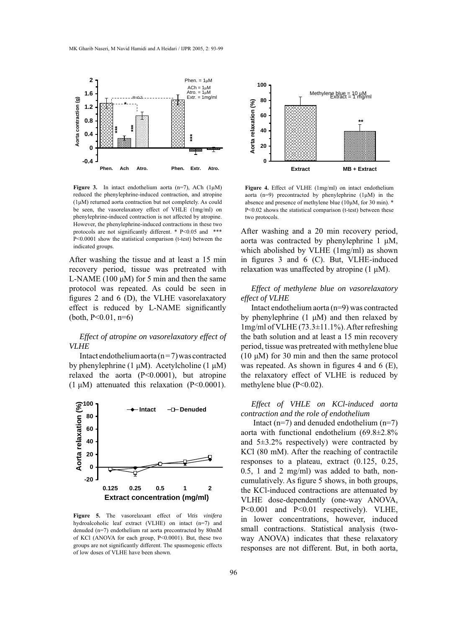

**Figure 3.** In intact endothelium aorta (n=7), ACh (1μM) reduced the phenylephrine-induced contraction, and atropine (1μM) returned aorta contraction but not completely. As could be seen, the vasorelaxatory effect of VHLE (1mg/ml) on phenylephrine-induced contraction is not affected by atropine. However, the phenylephrine-induced contractions in these two protocols are not significantly different. \* P<0.05 and \*\*\* P<0.0001 show the statistical comparison (t-test) between the indicated groups.

After washing the tissue and at least a 15 min recovery period, tissue was pretreated with L-NAME (100  $\mu$ M) for 5 min and then the same protocol was repeated. As could be seen in figures 2 and 6 (D), the VLHE vasorelaxatory effect is reduced by L-NAME significantly  $(both, P<0.01, n=6)$ 

## *Effect of atropine on vasorelaxatory effect of VLHE*

Intact endothelium aorta ( $n = 7$ ) was contracted by phenylephrine (1 μM). Acetylcholine (1 μM) relaxed the aorta (P<0.0001), but atropine (1  $\mu$ M) attenuated this relaxation (P<0.0001).



**Figure 5.** The vasorelaxant effect of *Vitis vinifera* hydroalcoholic leaf extract (VLHE) on intact (n=7) and denuded (n=7) endothelium rat aorta precontracted by 80mM of KCl (ANOVA for each group, P<0.0001). But, these two groups are not significantly different. The spasmogenic effects of low doses of VLHE have been shown.



**Figure 4.** Effect of VLHE (1mg/ml) on intact endothelium aorta (n=9) precontracted by phenylephrine  $(1\mu M)$  in the absence and presence of methylene blue (10μM, for 30 min). \* P<0.02 shows the statistical comparison (t-test) between these two protocols.

After washing and a 20 min recovery period, aorta was contracted by phenylephrine 1 μM, which abolished by VLHE (1mg/ml) as shown in figures 3 and 6 (C). But, VLHE-induced relaxation was unaffected by atropine  $(1 \mu M)$ .

## *Effect of methylene blue on vasorelaxatory effect of VLHE*

Intact endothelium aorta (n=9) was contracted by phenylephrine  $(1 \mu M)$  and then relaxed by 1mg/ml of VLHE (73.3±11.1%). After refreshing the bath solution and at least a 15 min recovery period, tissue was pretreated with methylene blue (10  $\mu$ M) for 30 min and then the same protocol was repeated. As shown in figures 4 and 6 (E), the relaxatory effect of VLHE is reduced by methylene blue (P<0.02).

## *Effect of VHLE on KCl-induced aorta contraction and the role of endothelium*

Intact  $(n=7)$  and denuded endothelium  $(n=7)$ aorta with functional endothelium (69.8±2.8% and 5±3.2% respectively) were contracted by KCl (80 mM). After the reaching of contractile responses to a plateau, extract (0.125, 0.25, 0.5, 1 and 2 mg/ml) was added to bath, noncumulatively. As figure 5 shows, in both groups, the KCl-induced contractions are attenuated by VLHE dose-dependently (one-way ANOVA, P<0.001 and P<0.01 respectively). VLHE, in lower concentrations, however, induced small contractions. Statistical analysis (twoway ANOVA) indicates that these relaxatory responses are not different. But, in both aorta,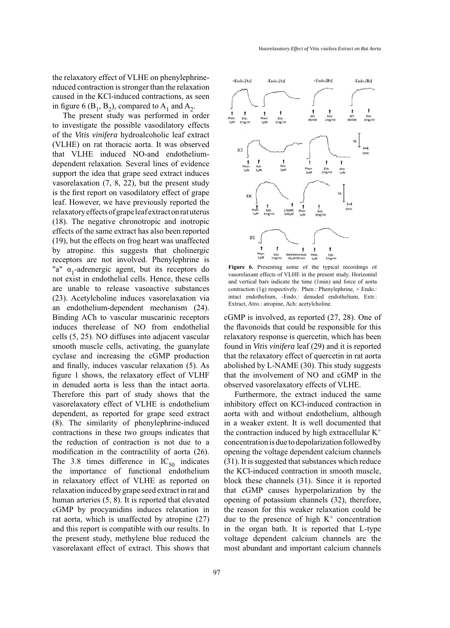the relaxatory effect of VLHE on phenylephrinenduced contraction is stronger than the relaxation caused in the KCl-induced contractions, as seen in figure 6 ( $B_1$ ,  $B_2$ ), compared to  $A_1$  and  $A_2$ .

The present study was performed in order to investigate the possible vasodilatory effects of the *Vitis vinifera* hydroalcoholic leaf extract (VLHE) on rat thoracic aorta. It was observed that VLHE induced NO-and endotheliumdependent relaxation. Several lines of evidence support the idea that grape seed extract induces vasorelaxation (7, 8, 22), but the present study is the first report on vasodilatory effect of grape leaf. However, we have previously reported the relaxatory effects of grape leaf extract on rat uterus (18). The negative chronotropic and inotropic effects of the same extract has also been reported (19), but the effects on frog heart was unaffected by atropine. this suggests that cholinergic receptors are not involved. Phenylephrine is "a"  $\alpha_1$ -adrenergic agent, but its receptors do not exist in endothelial cells. Hence, these cells are unable to release vasoactive substances (23). Acetylcholine induces vasorelaxation via an endothelium-dependent mechanism (24). Binding ACh to vascular muscarinic receptors induces therelease of NO from endothelial cells (5, 25). NO diffuses into adjacent vascular smooth muscle cells, activating, the guanylate cyclase and increasing the cGMP production and finally, induces vascular relaxation (5). As figure 1 shows, the relaxatory effect of VLHF in denuded aorta is less than the intact aorta. Therefore this part of study shows that the vasorelaxatory effect of VLHE is endothelium dependent, as reported for grape seed extract (8). The similarity of phenylephrine-induced contractions in these two groups indicates that the reduction of contraction is not due to a modification in the contractility of aorta (26). The 3.8 times difference in  $IC_{50}$  indicates the importance of functional endothelium in relaxatory effect of VLHE as reported on relaxation induced by grape seed extract in rat and human arteries (5, 8). It is reported that elevated cGMP by procyanidins induces relaxation in rat aorta, which is unaffected by atropine (27) and this report is compatible with our results. In the present study, methylene blue reduced the vasorelaxant effect of extract. This shows that



**Figure 6.** Presenting some of the typical recordings of vasorelaxant effects of VLHE in the present study. Horizontal and vertical bars indicate the time (1min) and force of aorta contraction (1g) respectively. Phen.: Phenylephrine, + Endo.: intact endothelium, -Endo.: denuded endothelium, Extr.: Extract, Atro.: atropine, Ach: acetylcholine.

cGMP is involved, as reported (27, 28). One of the flavonoids that could be responsible for this relaxatory response is quercetin, which has been found in *Vitis vinifera* leaf (29) and it is reported that the relaxatory effect of quercetin in rat aorta abolished by L-NAME (30). This study suggests that the involvement of NO and cGMP in the observed vasorelaxatory effects of VLHE.

Furthermore, the extract induced the same inhibitory effect on KCl-induced contraction in aorta with and without endothelium, although in a weaker extent. It is well documented that the contraction induced by high extracellular  $K^+$ concentration is due to depolarization followed by opening the voltage dependent calcium channels (31). It is suggested that substances which reduce the KCl-induced contraction in smooth muscle, block these channels (31). Since it is reported that cGMP causes hyperpolarization by the opening of potassium channels (32), therefore, the reason for this weaker relaxation could be due to the presence of high  $K^+$  concentration in the organ bath. It is reported that L-type voltage dependent calcium channels are the most abundant and important calcium channels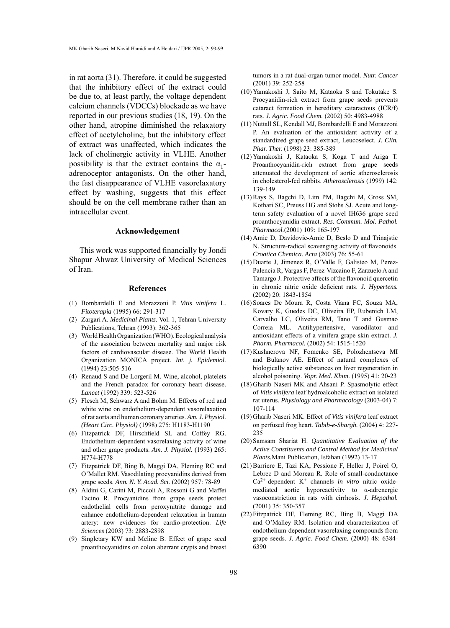in rat aorta (31). Therefore, it could be suggested that the inhibitory effect of the extract could be due to, at least partly, the voltage dependent calcium channels (VDCCs) blockade as we have reported in our previous studies (18, 19). On the other hand, atropine diminished the relaxatory effect of acetylcholine, but the inhibitory effect of extract was unaffected, which indicates the lack of cholinergic activity in VLHE. Another possibility is that the extract contains the  $\alpha_1$ adrenoceptor antagonists. On the other hand, the fast disappearance of VLHE vasorelaxatory effect by washing, suggests that this effect should be on the cell membrane rather than an intracellular event.

#### **Acknowledgement**

This work was supported financially by Jondi Shapur Ahwaz University of Medical Sciences of Iran.

### **References**

- Bombardelli E and Morazzoni P. *Vitis vinifera* L. (1) *Fitoterapia* (1995) 66: 291-317
- (2) Zargari A. Medicinal Plants. Vol. 1, Tehran University Publications, Tehran (1993): 362-365
- World Health Organization (WHO). Ecological analysis (3) of the association between mortality and major risk factors of cardiovascular disease. The World Health Organization MONICA project. *Int. j. Epidemiol.*  (1994) 23:505-516
- (4) Renaud S and De Lorgeril M. Wine, alcohol, platelets and the French paradox for coronary heart disease. *Lancet* (1992) 339: 523-526
- Flesch M, Schwarz A and Bohm M. Effects of red and (5) white wine on endothelium-dependent vasorelaxation of rat aorta and human coronary arteries. *Am. J. Physiol. (Heart Circ. Physiol)* (1998) 275: H1183-H1190
- Fitzpatrick DF, Hirschfield SL and Coffey RG. (6) Endothelium-dependent vasorelaxing activity of wine and other grape products. *Am. J. Physiol.* (1993) 265: H774-H778
- (7) Fitzpatrick DF, Bing B, Maggi DA, Fleming RC and O'Mallet RM. Vasodilating procyanidins derived from grape seeds. *Ann. N. Y. Acad. Sci.* (2002) 957: 78-89
- Aldini G, Carini M, Piccoli A, Rossoni G and Maffei (8) Facino R. Procyanidins from grape seeds protect endothelial cells from peroxynitrite damage and enhance endothelium-dependent relaxation in human artery: new evidences for cardio-protection. *Life Sciences* (2003) 73: 2883-2898
- (9) Singletary KW and Meline B. Effect of grape seed proanthocyanidins on colon aberrant crypts and breast

tumors in a rat dual-organ tumor model. *Nutr. Cancer* (2001) 39: 252-258

- (10) Yamakoshi J, Saito M, Kataoka S and Tokutake S. Procyanidin-rich extract from grape seeds prevents cataract formation in hereditary cataractous (ICR/f) rats. *J. Agric. Food Chem.* (2002) 50: 4983-4988
- (11) Nuttall SL, Kendall MJ, Bombardelli E and Morazzoni P. An evaluation of the antioxidant activity of a standardized grape seed extract, Leucoselect. *J. Clin. Phar. Ther.* (1998) 23: 385-389
- Yamakoshi J, Kataoka S, Koga T and Ariga T. (12) Proanthocyanidin-rich extract from grape seeds attenuated the development of aortic atherosclerosis in cholesterol-fed rabbits. *Atherosclerosis* (1999) 142: 139-149
- (13) Rays S, Bagchi D, Lim PM, Bagchi M, Gross SM, Kothari SC, Preuss HG and Stohs SJ. Acute and longterm safety evaluation of a novel IH636 grape seed proanthocyanidin extract. *Res. Commun. Mol. Pathol. Pharmacol.*(2001) 109: 165-197
- (14) Amic D, Davidovic-Amic D, Beslo D and Trinajstic N. Structure-radical scavenging activity of flavonoids. *Croatica Chemica. Acta* (2003) 76: 55-61
- (15) Duarte J, Jimenez R, O'Valle F, Galisteo M, Perez-Palencia R, Vargas F, Perez-Vizcaino F, Zarzuelo A and Tamargo J. Protective affects of the flavonoid quercetin in chronic nitric oxide deficient rats. *J. Hypertens.* (2002) 20: 1843-1854
- (16) Soares De Moura R, Costa Viana FC, Souza MA, Kovary K, Guedes DC, Oliveira EP, Rubenich LM, Carvalho LC, Oliveira RM, Tano T and Gusmao Correia ML. Antihypertensive, vasodilator and antioxidant effects of a vinifera grape skin extract. *J. Pharm. Pharmacol.* (2002) 54: 1515-1520
- (17) Kushnerova NF, Fomenko SE, Polozhentseva MI and Bulanov AE. Effect of natural complexes of biologically active substances on liver regeneration in alcohol poisoning. *Vopr. Med. Khim.* (1995) 41: 20-23
- (18) Gharib Naseri MK and Ahsani P. Spasmolytic effect of *Vitis vinifera* leaf hydroalcoholic extract on isolated rat uterus. *Physiology and Pharmacology* (2003-04) 7: 107-114
- (19) Gharib Naseri MK. Effect of Vitis vinifera leaf extract on perfused frog heart. *Tabib-e-Shargh.* (2004) 4: 227- 235
- Samsam Shariat H. *Quantitative Evaluation of the*  (20) *Active Constituents and Control Method for Medicinal Plants.*Mani Publication, Isfahan (1992) 13-17
- (21) Barriere E, Tazi KA, Pessione F, Heller J, Poirel O, Lebrec D and Moreau R. Role of small-conductance Ca2+-dependent K+ channels *in vitro* nitric oxidemediated aortic hyporeactivity to α-adrenergic vasoconstriction in rats with cirrhosis. *J. Hepathol.* (2001) 35: 350-357
- (22) Fitzpatrick DF, Fleming RC, Bing B, Maggi DA and O'Malley RM. Isolation and characterization of endothelium-dependent vasorelaxing compounds from grape seeds. *J. Agric. Food Chem.* (2000) 48: 6384- 6390